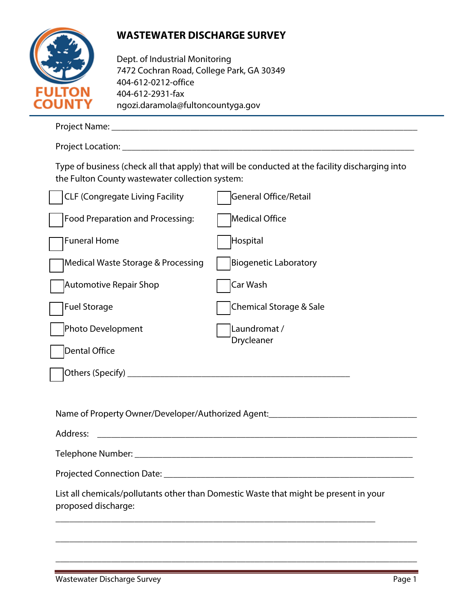

## **WASTEWATER DISCHARGE SURVEY**

Dept. of Industrial Monitoring 7472 Cochran Road, College Park, GA 30349 404-612-0212-office 404-612-2931-fax ngozi.daramola@fultoncountyga.gov

| the Fulton County wastewater collection system: | Type of business (check all that apply) that will be conducted at the facility discharging into |
|-------------------------------------------------|-------------------------------------------------------------------------------------------------|
| <b>CLF (Congregate Living Facility</b>          | General Office/Retail                                                                           |
| Food Preparation and Processing:                | Medical Office                                                                                  |
| <b>Funeral Home</b>                             | Hospital                                                                                        |
| Medical Waste Storage & Processing              | <b>Biogenetic Laboratory</b>                                                                    |
| <b>Automotive Repair Shop</b>                   | Car Wash                                                                                        |
| <b>Fuel Storage</b>                             | Chemical Storage & Sale                                                                         |
| Photo Development                               | Laundromat /<br>Drycleaner                                                                      |
| Dental Office                                   |                                                                                                 |
|                                                 |                                                                                                 |
|                                                 |                                                                                                 |
|                                                 | Name of Property Owner/Developer/Authorized Agent:______________________________                |
| Address:                                        |                                                                                                 |
| Telephone Number: _________                     |                                                                                                 |
|                                                 |                                                                                                 |
| proposed discharge:                             | List all chemicals/pollutants other than Domestic Waste that might be present in your           |

\_\_\_\_\_\_\_\_\_\_\_\_\_\_\_\_\_\_\_\_\_\_\_\_\_\_\_\_\_\_\_\_\_\_\_\_\_\_\_\_\_\_\_\_\_\_\_\_\_\_\_\_\_\_\_\_\_\_\_\_\_\_\_\_\_\_\_\_\_\_\_\_\_\_\_\_\_\_

\_\_\_\_\_\_\_\_\_\_\_\_\_\_\_\_\_\_\_\_\_\_\_\_\_\_\_\_\_\_\_\_\_\_\_\_\_\_\_\_\_\_\_\_\_\_\_\_\_\_\_\_\_\_\_\_\_\_\_\_\_\_\_\_\_\_\_\_\_\_\_\_\_\_\_\_\_\_